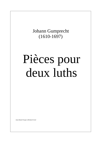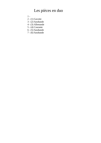## Les pièces en duo

1 -

- 2 (1) Gavotte
- 3 (2) Sarabande
- 4 (3) Allemande
- 5 (4) Courante
- 6 (5) Sarabande
- 7 (6) Sarabande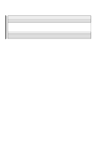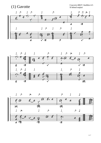$(1)$  Gavotte Cracovie 40637, feuillets 4-5<br>Si bémol majeur Si bémol majeur





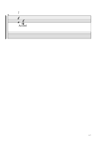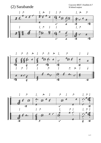## (2) Sarabande Cracovie 40637. Feuillets 6-7<br>Si bémol majeur Si bémol majeur





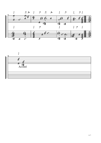

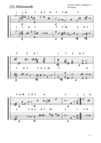



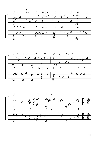



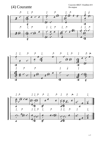(4) Courante Cracovie 40637. Feuillets 8-9<br>Do majeur Do majeur





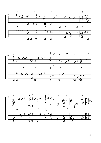



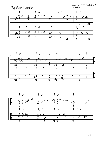



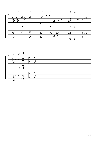

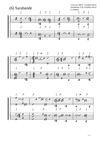